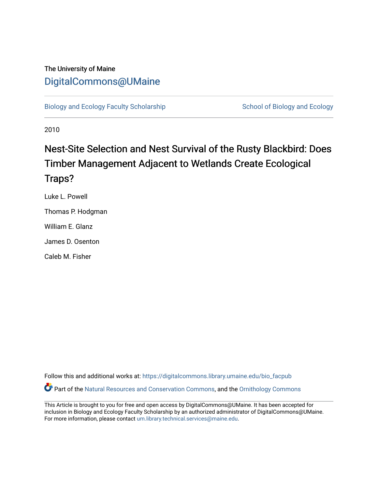## The University of Maine [DigitalCommons@UMaine](https://digitalcommons.library.umaine.edu/)

[Biology and Ecology Faculty Scholarship](https://digitalcommons.library.umaine.edu/bio_facpub) [School of Biology and Ecology](https://digitalcommons.library.umaine.edu/bio) and Ecology

2010

# Nest-Site Selection and Nest Survival of the Rusty Blackbird: Does Timber Management Adjacent to Wetlands Create Ecological Traps?

Luke L. Powell Thomas P. Hodgman William E. Glanz

James D. Osenton

Caleb M. Fisher

Follow this and additional works at: [https://digitalcommons.library.umaine.edu/bio\\_facpub](https://digitalcommons.library.umaine.edu/bio_facpub?utm_source=digitalcommons.library.umaine.edu%2Fbio_facpub%2F12&utm_medium=PDF&utm_campaign=PDFCoverPages)  Part of the [Natural Resources and Conservation Commons,](http://network.bepress.com/hgg/discipline/168?utm_source=digitalcommons.library.umaine.edu%2Fbio_facpub%2F12&utm_medium=PDF&utm_campaign=PDFCoverPages) and the [Ornithology Commons](http://network.bepress.com/hgg/discipline/1190?utm_source=digitalcommons.library.umaine.edu%2Fbio_facpub%2F12&utm_medium=PDF&utm_campaign=PDFCoverPages) 

This Article is brought to you for free and open access by DigitalCommons@UMaine. It has been accepted for inclusion in Biology and Ecology Faculty Scholarship by an authorized administrator of DigitalCommons@UMaine. For more information, please contact [um.library.technical.services@maine.edu](mailto:um.library.technical.services@maine.edu).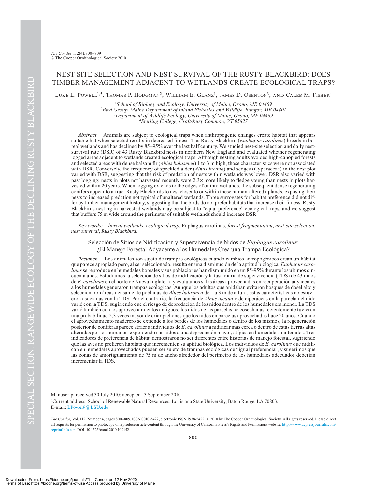### NEST-SITE SELECTION AND NEST SURVIVAL OF THE RUSTY BLACKBIRD: DOES TIMBER MANAGEMENT ADJACENT TO WETLANDS CREATE ECOLOGICAL TRAPS?

LUKE L. POWELL<sup>1,5</sup>, Thomas P. Hodgman<sup>2</sup>, William E. Glanz<sup>1</sup>, James D. Osenton<sup>3</sup>, and Caleb M. Fisher<sup>4</sup>

<sup>1</sup>School of Biology and Ecology, University of Maine, Orono, ME 04469 <sup>2</sup> Bird Group, Maine Department of Inland Fisheries and Wildlife, Bangor, ME 04401 *Department of Wildlife Ecology, University of Maine, Orono, ME 04469* <sup>4</sup>*Sterling College, Craftsbury Common, VT 05827*

*Abstract.* Animals are subject to ecological traps when anthropogenic changes create habitat that appears suitable but when selected results in decreased fitness. The Rusty Blackbird (*Euphagus carolinus*) breeds in boreal wetlands and has declined by 85–95% over the last half century. We studied nest-site selection and daily nestsurvival rate (DSR) of 43 Rusty Blackbird nests in northern New England and evaluated whether regenerating logged areas adjacent to wetlands created ecological traps. Although nesting adults avoided high-canopied forests and selected areas with dense balsam fir (*Abies balasmea*) 1 to 3 m high, those characteristics were not associated with DSR. Conversely, the frequency of speckled alder (*Alnus incana*) and sedges (Cyperaceae) in the nest plot varied with DSR, suggesting that the risk of predation of nests within wetlands was lower. DSR also varied with past logging; nests in plots not harvested recently were  $2.3\times$  more likely to fledge young than nests in plots harvested within 20 years. When logging extends to the edges of or into wetlands, the subsequent dense regenerating conifers appear to attract Rusty Blackbirds to nest closer to or within these human-altered uplands, exposing their nests to increased predation not typical of unaltered wetlands. Three surrogates for habitat preference did not differ by timber-management history, suggesting that the birds do not prefer habitats that increase their fitness. Rusty Blackbirds nesting in harvested wetlands may be subject to "equal preference" ecological traps, and we suggest that buffers 75 m wide around the perimeter of suitable wetlands should increase DSR.

*Key words: boreal wetlands*, *ecological trap*, Euphagus carolinus, *forest fragmentation*, *nest-site selection*, *nest survival*, *Rusty Blackbird*.

Selección de Sitios de Nidificación y Supervivencia de Nidos de *Euphagus carolinus*:

¿El Manejo Forestal Adyacente a los Humedales Crea una Trampa Ecológica?

*Resumen.* Los animales son sujeto de trampas ecológicas cuando cambios antropogénicos crean un hábitat que parece apropiado pero, al ser seleccionado, resulta en una disminución de la aptitud biológica. *Euphagus carolinus* se reproduce en humedales boreales y sus poblaciones han disminuido en un 85-95% durante los últimos cincuenta años. Estudiamos la selección de sitios de nidificación y la tasa diaria de supervivencia (TDS) de 43 nidos de *E. carolinus* en el norte de Nueva Inglaterra y evaluamos si las áreas aprovechadas en recuperación adyacentes a los humedales generaron trampas ecológicas. Aunque los adultos que anidaban evitaron bosques de dosel alto y seleccionaron áreas densamente pobladas de *Abies balasmea* de 1 a 3 m de altura, estas características no estuvieron asociadas con la TDS. Por el contrario, la frecuencia de *Alnus incana* y de ciperáceas en la parcela del nido varió con la TDS, sugiriendo que el riesgo de depredación de los nidos dentro de los humedales era menor. La TDS varió también con los aprovechamientos antiguos; los nidos de las parcelas no cosechadas recientemente tuvieron una probabilidad 2,3 veces mayor de criar pichones que los nidos en parcelas aprovechadas hace 20 años. Cuando el aprovechamiento maderero se extiende a los bordes de los humedales o dentro de los mismos, la regeneración posterior de coníferas parece atraer a individuos de *E. carolinus* a nidificar más cerca o dentro de estas tierras altas alteradas por los humanos, exponiendo sus nidos a una depredación mayor, atípica en humedales inalterados. Tres indicadores de preferencia de hábitat demostraron no ser diferentes entre historias de manejo forestal, sugiriendo que las aves no prefieren habitats que incrementen su aptitud biológica. Los individuos de *E. carolinus* que nidifican en humedales aprovechados pueden ser sujeto de trampas ecológicas de "igual preferencia", y sugerimos que las zonas de amortiguamiento de 75 m de ancho alrededor del perímetro de los humedales adecuados deberían incrementar la TDS.

5 Current address: School of Renewable Natural Resources, Louisiana State University, Baton Rouge, LA 70803. E-mail: LPowel9@LSU.edu Manuscript received 30 July 2010; accepted 13 September 2010.

The Condor, Vol. 112, Number 4, pages 800-809. ISSN 0010-5422, electronic ISSN 1938-5422. @ 2010 by The Cooper Ornithological Society. All rights reserved. Please direct all requests for permission to photocopy or reproduce article content through the University of California Press's Rights and Permissions website, http://www.ucpressjournals.com/ reprintInfo.asp. DOI: 10.1525/cond.2010.100152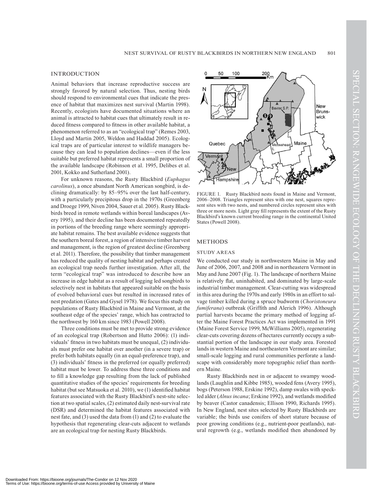#### INTRODUCTION

Animal behaviors that increase reproductive success are strongly favored by natural selection. Thus, nesting birds should respond to environmental cues that indicate the presence of habitat that maximizes nest survival (Martin 1998). Recently, ecologists have documented situations where an animal is attracted to habitat cues that ultimately result in reduced fitness compared to fitness in other available habitat, a phenomenon referred to as an "ecological trap" (Remes 2003, Lloyd and Martin 2005, Weldon and Haddad 2005). Ecological traps are of particular interest to wildlife managers because they can lead to population declines—even if the less suitable but preferred habitat represents a small proportion of the available landscape (Robinson et al. 1995, Delibes et al. 2001, Kokko and Sutherland 2001).

For unknown reasons, the Rusty Blackbird (*Euphagus carolinus*), a once abundant North American songbird, is declining dramatically: by 85–95% over the last half-century, with a particularly precipitous drop in the 1970s (Greenberg and Droege 1999, Niven 2004, Sauer et al. 2005). Rusty Blackbirds breed in remote wetlands within boreal landscapes (Avery 1995), and their decline has been documented repeatedly in portions of the breeding range where seemingly appropriate habitat remains. The best available evidence suggests that the southern boreal forest, a region of intensive timber harvest and management, is the region of greatest decline (Greenberg et al. 2011). Therefore, the possibility that timber management has reduced the quality of nesting habitat and perhaps created an ecological trap needs further investigation. After all, the term "ecological trap" was introduced to describe how an increase in edge habitat as a result of logging led songbirds to selectively nest in habitats that appeared suitable on the basis of evolved behavioral cues but resulted in increased rates of nest predation (Gates and Gysel 1978). We focus this study on populations of Rusty Blackbird in Maine and Vermont, at the southeast edge of the species' range, which has contracted to the northwest by 160 km since 1983 (Powell 2008).

Three conditions must be met to provide strong evidence of an ecological trap (Robertson and Hutto 2006): (1) individuals' fitness in two habitats must be unequal, (2) individuals must prefer one habitat over another (in a severe trap) or prefer both habitats equally (in an equal-preference trap), and (3) individuals' fitness in the preferred (or equally preferred) habitat must be lower. To address these three conditions and to fill a knowledge gap resulting from the lack of published quantitative studies of the species' requirements for breeding habitat (but see Matsuoka et al. 2010), we (1) identified habitat features associated with the Rusty Blackbird's nest-site selection at two spatial scales, (2) estimated daily nest-survival rate (DSR) and determined the habitat features associated with nest fate, and (3) used the data from (1) and (2) to evaluate the hypothesis that regenerating clear-cuts adjacent to wetlands are an ecological trap for nesting Rusty Blackbirds.



FIGURE 1. Rusty Blackbird nests found in Maine and Vermont, 2006–2008. Triangles represent sites with one nest, squares represent sites with two nests, and numbered circles represent sites with three or more nests. Light gray fill represents the extent of the Rusty Blackbird's known current breeding range in the continental United States (Powell 2008).

#### **METHODS**

#### STUDY AREAS

We conducted our study in northwestern Maine in May and June of 2006, 2007, and 2008 and in northeastern Vermont in May and June 2007 (Fig. 1). The landscape of northern Maine is relatively flat, uninhabited, and dominated by large-scale industrial timber management. Clear-cutting was widespread in this area during the 1970s and early 1980s in an effort to salvage timber killed during a spruce budworm (*Choristoneura fumiferana*) outbreak (Griffith and Alerich 1996). Although partial harvests became the primary method of logging after the Maine Forest Practices Act was implemented in 1991 (Maine Forest Service 1999, McWilliams 2005), regenerating clear-cuts covering dozens of hectares currently occupy a substantial portion of the landscape in our study area. Forested lands in western Maine and northeastern Vermont are similar; small-scale logging and rural communities perforate a landscape with considerably more topographic relief than northern Maine.

Rusty Blackbirds nest in or adjacent to swampy woodlands (Laughlin and Kibbe 1985), wooded fens (Avery 1995), bogs (Peterson 1988, Erskine 1992), damp swales with speckled alder (*Alnus incana*; Erskine 1992), and wetlands modified by beaver (Castor canadensis; Ellison 1990, Richards 1995). In New England, nest sites selected by Rusty Blackbirds are variable; the birds use conifers of short stature because of poor growing conditions (e.g., nutrient-poor peatlands), natural regrowth (e.g., wetlands modified then abandoned by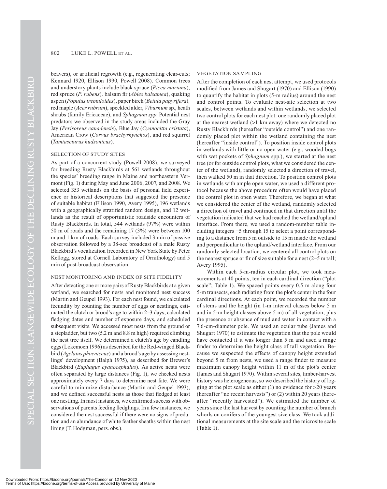beavers), or artificial regrowth (e.g., regenerating clear-cuts; Kennard 1920, Ellison 1990, Powell 2008). Common trees and understory plants include black spruce (*Picea mariana*), red spruce (*P. rubens*)*,* balsam fir (*Abies balsamea*), quaking aspen (*Populus tremuloides*), paper birch (*Betula papyrifera*)*,* red maple (*Acer rubrum*), speckled alder, *Viburnum* sp., heath shrubs (family Ericaceae), and *Sphagnum spp*. Potential nest predators we observed in the study areas included the Gray Jay (*Perisoreus canadensis*), Blue Jay (*Cyanocitta cristata*), American Crow (*Corvus brachyrhynchos*), and red squirrel (*Tamiasciurus hudsonicus*).

#### SELECTION OF STUDY SITES

As part of a concurrent study (Powell 2008), we surveyed for breeding Rusty Blackbirds at 561 wetlands throughout the species' breeding range in Maine and northeastern Vermont (Fig. 1) during May and June 2006, 2007, and 2008. We selected 353 wetlands on the basis of personal field experience or historical descriptions that suggested the presence of suitable habitat (Ellison 1990, Avery 1995), 196 wetlands with a geographically stratified random design, and 12 wetlands as the result of opportunistic roadside encounters of Rusty Blackbirds. In total, 544 wetlands (97%) were within 50 m of roads and the remaining 17 (3%) were between 100 m and 1 km of roads. Each survey included 3 min of passive observation followed by a 38-sec broadcast of a male Rusty Blackbird's vocalization (recorded in New York State by Peter Kellogg, stored at Cornell Laboratory of Ornithology) and 5 min of post-broadcast observation.

#### NEST MONITORING AND INDEX OF SITE FIDELITY

After detecting one or more pairs of Rusty Blackbirds at a given wetland, we searched for nests and monitored nest success (Martin and Geupel 1993). For each nest found, we calculated fecundity by counting the number of eggs or nestlings, estimated the clutch or brood's age to within 2–3 days, calculated fledging dates and number of exposure days, and scheduled subsequent visits. We accessed most nests from the ground or a stepladder, but two (5.2 m and 8.8 m high) required climbing the nest tree itself. We determined a clutch's age by candling eggs (Lokemoen 1996) as described for the Red-winged Blackbird (*Agelaius phoeniceus*) and a brood's age by assessing nestlings' development (Balph 1975), as described for Brewer's Blackbird (*Euphagus cyanocephalus*). As active nests were often separated by large distances (Fig. 1), we checked nests approximately every 7 days to determine nest fate. We were careful to minimize disturbance (Martin and Geupel 1993), and we defined successful nests as those that fledged at least one nestling. In most instances, we confirmed success with observations of parents feeding fledglings. In a few instances, we considered the nest successful if there were no signs of predation and an abundance of white feather sheaths within the nest lining (T. Hodgman, pers. obs.).

#### VEGETATION SAMPLING

After the completion of each nest attempt, we used protocols modified from James and Shugart (1970) and Ellison (1990) to quantify the habitat in plots (5-m radius) around the nest and control points. To evaluate nest-site selection at two scales, between wetlands and within wetlands, we selected two control plots for each nest plot: one randomly placed plot at the nearest wetland  $(>1 \text{ km}$  away) where we detected no Rusty Blackbirds (hereafter "outside control") and one randomly placed plot within the wetland containing the nest (hereafter "inside control"). To position inside control plots in wetlands with little or no open water (e.g., wooded bogs with wet pockets of *Sphagnum* spp.), we started at the nest tree (or for outside control plots, what we considered the center of the wetland), randomly selected a direction of travel, then walked 50 m in that direction. To position control plots in wetlands with ample open water, we used a different protocol because the above procedure often would have placed the control plot in open water. Therefore, we began at what we considered the center of the wetland, randomly selected a direction of travel and continued in that direction until the vegetation indicated that we had reached the wetland/upland interface. From there, we used a random-number table including integers −5 through 15 to select a point corresponding to a distance from 5 m outside to 15 m inside the wetland and perpendicular to the upland/wetland interface. From our randomly selected location, we centered all control plots on the nearest spruce or fir of size suitable for a nest (2–5 m tall; Avery 1995).

Within each 5-m-radius circular plot, we took measurements at 40 points, ten in each cardinal direction ("plot scale"; Table 1). We spaced points every 0.5 m along four 5-m transects, each radiating from the plot's center in the four cardinal directions. At each point, we recorded the number of stems and the height (in 1-m interval classes below 5 m and in 5-m height classes above 5 m) of all vegetation, plus the presence or absence of mud and water in contact with a 7.6-cm-diameter pole. We used an ocular tube (James and Shugart 1970) to estimate the vegetation that the pole would have contacted if it was longer than 5 m and used a range finder to determine the height class of tall vegetation. Because we suspected the effects of canopy height extended beyond 5 m from nests, we used a range finder to measure maximum canopy height within 11 m of the plot's center (James and Shugart 1970). Within several sites, timber-harvest history was heterogeneous, so we described the history of logging at the plot scale as either  $(1)$  no evidence for  $>20$  years (hereafter "no recent harvests") or (2) within 20 years (hereafter "recently harvested"). We estimated the number of years since the last harvest by counting the number of branch whorls on conifers of the youngest size class. We took additional measurements at the site scale and the microsite scale (Table 1).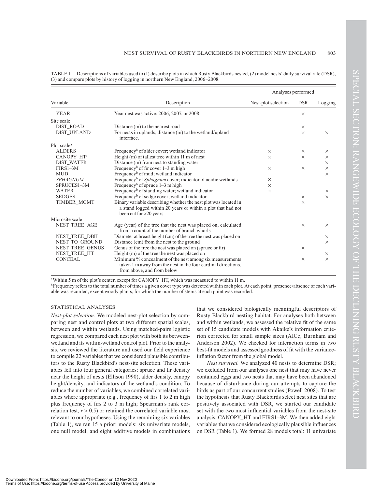| Variable                |                                                                                                                                                           | Analyses performed  |            |          |  |
|-------------------------|-----------------------------------------------------------------------------------------------------------------------------------------------------------|---------------------|------------|----------|--|
|                         | Description                                                                                                                                               | Nest-plot selection | <b>DSR</b> | Logging  |  |
| <b>YEAR</b>             | Year nest was active: 2006, 2007, or 2008                                                                                                                 |                     | $\times$   |          |  |
| Site scale              |                                                                                                                                                           |                     |            |          |  |
| <b>DIST ROAD</b>        | Distance (m) to the nearest road                                                                                                                          |                     | $\times$   |          |  |
| <b>DIST UPLAND</b>      | For nests in uplands, distance (m) to the wetland/upland<br>interface.                                                                                    |                     | $\times$   | $\times$ |  |
| Plot scale <sup>a</sup> |                                                                                                                                                           |                     |            |          |  |
| <b>ALDERS</b>           | Frequency <sup>b</sup> of alder cover; wetland indicator                                                                                                  | $\times$            | $\times$   | $\times$ |  |
| CANOPY HT <sup>a</sup>  | Height $(m)$ of tallest tree within 11 m of nest                                                                                                          | $\times$            | $\times$   | $\times$ |  |
| <b>DIST WATER</b>       | Distance (m) from nest to standing water                                                                                                                  |                     |            | $\times$ |  |
| FIRS1-3M                | Frequency <sup>b</sup> of fir cover $1-3$ m high                                                                                                          | $\times$            | $\times$   | $\times$ |  |
| <b>MUD</b>              | Frequency <sup>b</sup> of mud; wetland indicator                                                                                                          |                     |            | $\times$ |  |
| <b>SPHAGNUM</b>         | Frequency <sup>b</sup> of Sphagnum cover; indicator of acidic wetlands                                                                                    | $\times$            |            |          |  |
| SPRUCES1-3M             | Frequency <sup>b</sup> of spruce $1-3$ m high                                                                                                             | $\times$            |            |          |  |
| <b>WATER</b>            | Frequency <sup>b</sup> of standing water; wetland indicator                                                                                               | $\times$            |            | $\times$ |  |
| <b>SEDGES</b>           | Frequency <sup>b</sup> of sedge cover; wetland indicator                                                                                                  |                     | $\times$   | $\times$ |  |
| TIMBER MGMT             | Binary variable describing whether the nest plot was located in<br>a stand logged within 20 years or within a plot that had not<br>been cut for >20 years |                     | $\times$   |          |  |
| Microsite scale         |                                                                                                                                                           |                     |            |          |  |
| NEST_TREE_AGE           | Age (year) of the tree that the nest was placed on, calculated<br>from a count of the number of branch whorls                                             |                     | $\times$   | $\times$ |  |
| NEST_TREE_DBH           | Diameter at breast height (cm) of the tree the nest was placed on                                                                                         |                     |            | $\times$ |  |
| NEST TO GROUND          | Distance (cm) from the nest to the ground                                                                                                                 |                     |            | $\times$ |  |
| NEST_TREE_GENUS         | Genus of the tree the nest was placed on (spruce or fir)                                                                                                  |                     | $\times$   |          |  |
| NEST_TREE_HT            | Height (m) of the tree the nest was placed on                                                                                                             |                     |            | $\times$ |  |
| <b>CONCEAL</b>          | Minimum % concealment of the nest among six measurements<br>taken 1 m away from the nest in the four cardinal directions,<br>from above, and from below   |                     | $\times$   | $\times$ |  |

TABLE 1. Descriptions of variables used to (1) describe plots in which Rusty Blackbirds nested, (2) model nests' daily survival rate (DSR), (3) and compare plots by history of logging in northern New England, 2006–2008.

aWithin 5 m of the plot's center, except for CANOPY\_HT, which was measured to within 11 m.

bFrequency refers to the total number of times a given cover type was detected within each plot. At each point, presence/absence of each variable was recorded, except woody plants, for which the number of stems at each point was recorded.

#### STATISTICAL ANALYSES

*Nest-plot selection.* We modeled nest-plot selection by comparing nest and control plots at two different spatial scales, between and within wetlands. Using matched-pairs logistic regression, we compared each nest plot with both its betweenwetland and its within-wetland control plot. Prior to the analysis, we reviewed the literature and used our field experience to compile 22 variables that we considered plausible contributors to the Rusty Blackbird's nest-site selection. These variables fell into four general categories: spruce and fir density near the height of nests (Ellison 1990), alder density, canopy height/density, and indicators of the wetland's condition. To reduce the number of variables, we combined correlated variables where appropriate (e.g., frequency of firs 1 to 2 m high plus frequency of firs 2 to 3 m high; Spearman's rank correlation test,  $r > 0.5$ ) or retained the correlated variable most relevant to our hypotheses. Using the remaining six variables (Table 1), we ran 15 a priori models: six univariate models, one null model, and eight additive models in combinations

that we considered biologically meaningful descriptors of Rusty Blackbird nesting habitat. For analyses both between and within wetlands, we assessed the relative fit of the same set of 15 candidate models with Akaike's information criterion corrected for small sample sizes (AICc; Burnham and Anderson 2002). We checked for interaction terms in two best-fit models and assessed goodness of fit with the varianceinflation factor from the global model.

*Nest survival.* We analyzed 40 nests to determine DSR; we excluded from our analyses one nest that may have never contained eggs and two nests that may have been abandoned because of disturbance during our attempts to capture the birds as part of our concurrent studies (Powell 2008). To test the hypothesis that Rusty Blackbirds select nest sites that are positively associated with DSR, we started our candidate set with the two most influential variables from the nest-site analysis, CANOPY\_HT and FIRS1–3M. We then added eight variables that we considered ecologically plausible influences on DSR (Table 1). We formed 28 models total: 11 univariate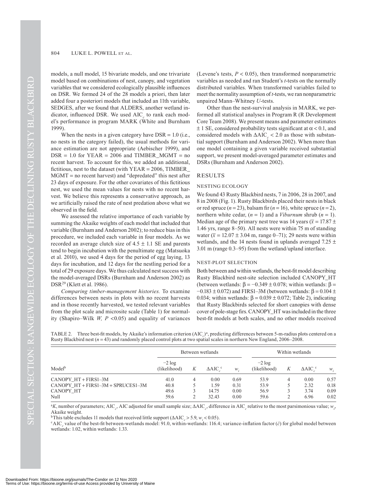models, a null model, 15 bivariate models, and one trivariate model based on combinations of nest, canopy, and vegetation variables that we considered ecologically plausible influences on DSR. We formed 24 of the 28 models a priori, then later added four a posteriori models that included an 11th variable, SEDGES, after we found that ALDERS, another wetland indicator, influenced DSR. We used AIC<sub>c</sub> to rank each model's performance in program MARK (White and Burnham 1999).

When the nests in a given category have  $DSR = 1.0$  (i.e., no nests in the category failed), the usual methods for variance estimation are not appropriate (Aebischer 1999), and  $DSR = 1.0$  for  $YEAR = 2006$  and TIMBER\_MGMT = no recent harvest. To account for this, we added an additional, fictitious, nest to the dataset (with  $YEAR = 2006$ , TIMBER  $MGMT = no$  recent harvest) and "depredated" this nest after 23 days of exposure. For the other covariates of this fictitious nest, we used the mean values for nests with no recent harvest. We believe this represents a conservative approach, as we artificially raised the rate of nest predation above what we observed in the field.

We assessed the relative importance of each variable by summing the Akaike weights of each model that included that variable (Burnham and Anderson 2002); to reduce bias in this procedure, we included each variable in four models. As we recorded an average clutch size of  $4.5 \pm 1.1$  SE and parents tend to begin incubation with the penultimate egg (Matsuoka et al. 2010), we used 4 days for the period of egg laying, 13 days for incubation, and 12 days for the nestling period for a total of 29 exposure days. We thus calculated nest success with the model-averaged DSRs (Burnham and Anderson 2002) as DSR29 (Klett et al. 1986).

*Comparing timber-management histories.* To examine differences between nests in plots with no recent harvests and in those recently harvested, we tested relevant variables from the plot scale and microsite scale (Table 1) for normality (Shapiro–Wilk  $W, P \le 0.05$ ) and equality of variances (Levene's tests,  $P < 0.05$ ), then transformed nonparametric variables as needed and ran Student's *t*-tests on the normally distributed variables. When transformed variables failed to meet the normality assumption of *t*-tests, we ran nonparametric unpaired Mann–Whitney *U*-tests.

Other than the nest-survival analysis in MARK, we performed all statistical analyses in Program R (R Development Core Team 2008). We present means and parameter estimates  $\pm$  1 SE, considered probability tests significant at  $\alpha$  < 0.1, and considered models with  $\triangle AIC \le 2.0$  as those with substantial support (Burnham and Anderson 2002). When more than one model containing a given variable received substantial support, we present model-averaged parameter estimates and DSRs (Burnham and Anderson 2002).

#### RESULTS

#### NESTING ECOLOGY

We found 43 Rusty Blackbird nests, 7 in 2006, 28 in 2007, and 8 in 2008 (Fig. 1). Rusty Blackbirds placed their nests in black or red spruce  $(n = 23)$ , balsam fir  $(n = 16)$ , white spruce  $(n = 2)$ , northern white cedar,  $(n = 1)$  and a *Viburnum* shrub  $(n = 1)$ . Median age of the primary nest tree was 14 years ( $\bar{x}$  = 17.87  $\pm$ 1.46 yrs, range 8–50). All nests were within 75 m of standing water  $(\bar{x} = 12.07 \pm 3.04 \text{ m}$ , range 0–71); 29 nests were within wetlands, and the 14 nests found in uplands averaged 7.25  $\pm$ 3.01 m (range 0.3–95) from the wetland/upland interface.

#### NEST-PLOT SELECTION

Both between and within wetlands, the best-fit model describing Rusty Blackbird nest-site selection included CANOPY\_HT (between wetlands:  $\beta = -0.349 \pm 0.078$ ; within wetlands:  $\beta =$  $-0.183 \pm 0.072$ ) and FIRS1–3M (between wetlands:  $\beta = 0.104 \pm 0.072$ ) 0.034; within wetlands:  $\beta = 0.039 \pm 0.072$ ; Table 2), indicating that Rusty Blackbirds selected for short canopies with dense cover of pole-stage firs. CANOPY\_HT was included in the three best-fit models at both scales, and no other models received

|                      | Between wetlands          |   |                   | Within wetlands |                           |   |                              |       |
|----------------------|---------------------------|---|-------------------|-----------------|---------------------------|---|------------------------------|-------|
| Model <sup>b</sup>   | $-2 \log$<br>(likelihood) | K | $\triangle AIC$ . | W               | $-2 \log$<br>(likelihood) | K | $\triangle AIC$ <sup>c</sup> | $W$ . |
| CANOPY_HT + FIRS1-3M | 41.0                      |   | 0.00              | 0.69            | 53.9                      |   | 0.00                         | 0.57  |

TABLE 2. Three best-fit models, by Akaike's information criterion  $(AIC_c)^a$ , predicting differences between 5-m-radius plots centered on a Rusty Blackbird nest ( $n = 43$ ) and randomly placed control plots at two spatial scales in northern New England, 2006–2008.

<sup>a</sup>K, number of parameters; AIC<sub>c</sub>, AIC adjusted for small sample size;  $\Delta AIC_c$ , difference in AIC<sub>c</sub> relative to the most parsimonious value;  $w_i$ , Akaike weight.

CANOPY\_HT + FIRS1–3M + SPRUCES1–3M 40.8 5 1.59 0.31 53.9 5 2.32 0.18<br>CANOPY\_HT 49.6 3 14.75 0.00 56.9 3 3.74 0.09 CANOPY\_HT 49.6 3 14.75 0.00 56.9 3 3.74 0.09 Null 59.6 2 32.43 0.00 59.6 2 6.96 0.02

<sup>b</sup>This table excludes 11 models that received little support ( $\triangle AIC_c > 5.9$ ,  $w_i < 0.05$ ).<br><sup>c</sup>AIC<sub>c</sub> value of the best-fit between-wetlands model: 91.0, within-wetlands: 116.4; variance-inflation factor (ĉ) for global mode wetlands: 1.02, within wetlands: 1.33.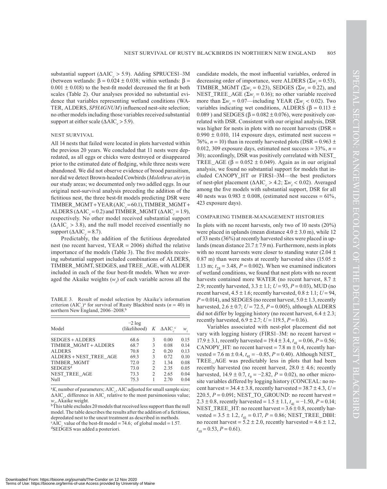substantial support  $(AAIC \geq 5.9)$ . Adding SPRUCES1–3M (between wetlands:  $\beta = 0.024 \pm 0.038$ ; within wetlands:  $\beta =$  $0.001 \pm 0.018$ ) to the best-fit model decreased the fit at both scales (Table 2). Our analyses provided no substantial evidence that variables representing wetland conditions (WA-TER, ALDERS, *SPHAGNUM*) influenced nest-site selection; no other models including those variables received substantial support at either scale  $(AAIC \geq 5.9)$ .

#### NEST SURVIVAL

All 14 nests that failed were located in plots harvested within the previous 20 years. We concluded that 11 nests were depredated, as all eggs or chicks were destroyed or disappeared prior to the estimated date of fledging, while three nests were abandoned. We did not observe evidence of brood parasitism, nor did we detect Brown-headed Cowbirds (*Molothrus ater*) in our study areas; we documented only two addled eggs. In our original nest-survival analysis preceding the addition of the fictitious nest, the three best-fit models predicting DSR were TIMBER\_MGMT+YEAR(AIC<sub>c</sub>=60.1), TIMBER\_MGMT+ ALDERS ( $\triangle AIC_z = 0.2$ ) and TIMBER\_MGMT ( $\triangle AIC_z = 1.9$ ), respectively. No other model received substantial support  $(AAIC<sub>c</sub> > 3.8)$ , and the null model received essentially no support ( $\triangle AIC = 8.7$ ).

Predictably, the addition of the fictitious depredated nest (no recent harvest,  $YEAR = 2006$ ) shifted the relative importance of the models (Table 3). The five models receiving substantial support included combinations of ALDERS, TIMBER\_MGMT, SEDGES, and TREE\_AGE, with ALDER included in each of the four best-fit models. When we averaged the Akaike weights  $(w_i)$  of each variable across all the

TABLE 3. Result of model selection by Akaike's information criterion (AIC<sub>*c*</sub>)<sup>a</sup> for survival of Rusty Blackbird nests (*n* = 40) in northern New England, 2006–2008.b

| Model                  | $-2 \log$<br>(likelihood) $K$ $\Delta AIC$ <sup>c</sup> |                |      | $W_i$ |
|------------------------|---------------------------------------------------------|----------------|------|-------|
| $SEDGES + ALDERS$      | 68.6                                                    | 3              | 0.00 | 0.15  |
| TIMBER MGMT + ALDERS   | 68.7                                                    | 3              | 0.08 | 0.14  |
| <b>ALDERS</b>          | 70.8                                                    | 2              | 0.20 | 0.13  |
| ALDERS + NEST TREE AGE | 69.3                                                    | 3              | 0.72 | 0.10  |
| TIMBER MGMT            | 72.0                                                    | $\mathfrak{D}$ | 1.34 | 0.08  |
| SEDGES <sup>d</sup>    | 73.0                                                    | 2              | 2.35 | 0.05  |
| NEST TREE AGE          | 73.3                                                    | $\mathfrak{D}$ | 2.65 | 0.04  |
| Null                   | 75.3                                                    |                | 2.70 | 0.04  |

<sup>a</sup>K, number of parameters; AIC<sub>c</sub>, AIC adjusted for small sample size;  $\Delta AIC_c$ , difference in  $AIC_c$  relative to the most parsimonious value; *wi* , Akaike weight.

 $\overline{b}$ This table excludes 20 models that received less support than the null model. The table describes the results after the addition of a fictitious, depredated nest to the uncut treatment as described in methods.

<sup>c</sup>AIC<sub>c</sub> value of the best-fit model = 74.6; of global model = 1.57. dSEDGES was added a posteriori.

candidate models, the most influential variables, ordered in decreasing order of importance, were ALDERS ( $\Sigma w_i = 0.53$ ), TIMBER\_MGMT ( $\Sigma w_i = 0.23$ ), SEDGES ( $\Sigma w_i = 0.22$ ), and NEST\_TREE\_AGE ( $\Sigma w_i = 0.16$ ); no other variable received more than  $\Sigma w_i = 0.07$ —including YEAR ( $\Sigma w_i < 0.02$ ). Two variables indicating wet conditions, ALDERS ( $\beta$  = 0.113  $\pm$ 0.089) and SEDGES ( $\beta$  = 0.082  $\pm$  0.076), were positively correlated with DSR. Consistent with our original analysis, DSR was higher for nests in plots with no recent harvests (DSR =  $0.990 \pm 0.010$ , 114 exposure days, estimated nest success = 76%,  $n = 10$ ) than in recently harvested plots (DSR = 0.963  $\pm$ 0.012, 309 exposure days, estimated nest success =  $33\%, n =$ 30); accordingly, DSR was positively correlated with NEST\_ TREE\_AGE ( $\beta$  = 0.052  $\pm$  0.049). Again as in our original analysis, we found no substantial support for models that included CANOPY\_HT or FIRS1–3M—the best predictors of nest-plot placement ( $\triangle AIC$ <sub>c</sub> > 4.2;  $\Sigma w$ <sub>i</sub> < 0.02). Averaged among the five models with substantial support, DSR for all 40 nests was  $0.983 \pm 0.008$ , (estimated nest success = 61%, 423 exposure days).

#### COMPARING TIMBER-MANAGEMENT HISTORIES

In plots with no recent harvests, only two of 10 nests (20%) were placed in uplands (mean distance  $4.0 \pm 3.0$  m), while 12 of 33 nests (36%) at recently harvested sites were placed in uplands (mean distance  $21.7 \pm 7.9$  m). Furthermore, nests in plots with no recent harvests were closer to standing water  $(2.04 \pm 1)$ 0.87 m) than were nests at recently harvested sites (15.05  $\pm$ 1.13 m;  $t_{28} = 3.48$ ,  $P = 0.002$ ). When we examined indicators of wetland conditions, we found that nest plots with no recent harvests contained more WATER (no recent harvest,  $8.7 \pm$ 2.9; recently harvested,  $3.3 \pm 1.1$ ;  $U = 93$ ,  $P = 0.03$ ), MUD (no recent harvest,  $4.5 \pm 1.6$ ; recently harvested,  $0.8 \pm 1.1$ ;  $U = 94$ ,  $P = 0.014$ ), and SEDGES (no recent harvest,  $5.0 \pm 1.3$ , recently harvested,  $2.6 \pm 0.7$ ;  $U = 72.5$ ,  $P = 0.005$ ), although ALDERS did not differ by logging history (no recent harvest,  $6.4 \pm 2.3$ ; recently harvested,  $6.9 \pm 2.7$ ;  $U = 119.5$ ,  $P = 0.16$ ).

Variables associated with nest-plot placement did not vary with logging history (FIRS1–3M: no recent harvest  $=$ 17.9  $\pm$  3.1, recently harvested = 19.4  $\pm$  3.4,  $t_{41}$  = 0.06, *P* = 0.56; CANOPY\_HT: no recent harvest = 7.8 m  $\pm$  0.4, recently har- $\text{vested} = 7.6 \text{ m} \pm 0.4, t_{41} = -0.85, P = 0.40$ . Although NEST\_ TREE\_AGE was predictably less in plots that had been recently harvested (no recent harvest,  $28.0 \pm 4.6$ ; recently harvested,  $14.9 \pm 0.7$ ,  $t_9 = -2.82$ ,  $P = 0.02$ ), no other microsite variables differed by logging history (CONCEAL: no recent harvest =  $34.4 \pm 3.8$ , recently harvested =  $38.7 \pm 4.3$ , *U* = 220.5,  $P = 0.091$ ; NEST\_TO\_GROUND: no recent harvest =  $2.3 \pm 0.8$ , recently harvested =  $1.5 \pm 1.1$ ,  $t_{41} = -1.50$ ,  $P = 0.14$ ; NEST\_TREE\_HT: no recent harvest =  $3.6 \pm 0.8$ , recently harvested =  $3.5 \pm 1.2$ ,  $t_{41} = 0.17$ ,  $P = 0.86$ ; NEST\_TREE\_DBH: no recent harvest =  $5.2 \pm 2.0$ , recently harvested =  $4.6 \pm 1.2$ ,  $t_{10} = 0.53, P = 0.61$ .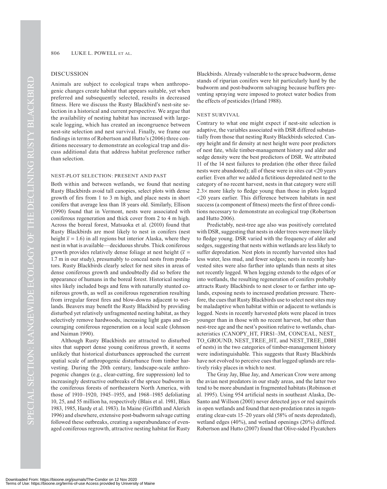#### DISCUSSION

Animals are subject to ecological traps when anthropogenic changes create habitat that appears suitable, yet when preferred and subsequently selected, results in decreased fitness. Here we discuss the Rusty Blackbird's nest-site selection in a historical and current perspective. We argue that the availability of nesting habitat has increased with largescale logging, which has created an incongruence between nest-site selection and nest survival. Finally, we frame our findings in terms of Robertson and Hutto's (2006) three conditions necessary to demonstrate an ecological trap and discuss additional data that address habitat preference rather than selection.

#### NEST-PLOT SELECTION: PRESENT AND PAST

Both within and between wetlands, we found that nesting Rusty Blackbirds avoid tall canopies, select plots with dense growth of firs from 1 to 3 m high, and place nests in short conifers that average less than 18 years old. Similarly, Ellison (1990) found that in Vermont, nests were associated with coniferous regeneration and thick cover from 2 to 4 m high. Across the boreal forest, Matsuoka et al. (2010) found that Rusty Blackbirds are most likely to nest in conifers (nest height  $\bar{x} = 1.6$ ) in all regions but interior Alaska, where they nest in what is available—deciduous shrubs. Thick coniferous growth provides relatively dense foliage at nest height ( $\bar{x}$  = 1.7 m in our study), presumably to conceal nests from predators. Rusty Blackbirds clearly select for nest sites in areas of dense coniferous growth and undoubtedly did so before the appearance of humans in the boreal forest. Historical nesting sites likely included bogs and fens with naturally stunted coniferous growth, as well as coniferous regeneration resulting from irregular forest fires and blow-downs adjacent to wetlands. Beavers may benefit the Rusty Blackbird by providing disturbed yet relatively unfragmented nesting habitat, as they selectively remove hardwoods, increasing light gaps and encouraging coniferous regeneration on a local scale (Johnson and Naiman 1990).

Although Rusty Blackbirds are attracted to disturbed sites that support dense young coniferous growth, it seems unlikely that historical disturbances approached the current spatial scale of anthropogenic disturbance from timber harvesting. During the 20th century, landscape-scale anthropogenic changes (e.g., clear-cutting, fire suppression) led to increasingly destructive outbreaks of the spruce budworm in the coniferous forests of northeastern North America, with those of 1910–1920, 1945–1955, and 1968–1985 defoliating 10, 25, and 55 million ha, respectively (Blais et al. 1981, Blais 1983, 1985, Hardy et al. 1983). In Maine (Griffith and Alerich 1996) and elsewhere, extensive post-budworm salvage cutting followed these outbreaks, creating a superabundance of evenaged coniferous regrowth, attractive nesting habitat for Rusty

Blackbirds. Already vulnerable to the spruce budworm, dense stands of riparian conifers were hit particularly hard by the budworm and post-budworm salvaging because buffers preventing spraying were imposed to protect water bodies from the effects of pesticides (Irland 1988).

#### NEST SURVIVAL

Contrary to what one might expect if nest-site selection is adaptive, the variables associated with DSR differed substantially from those that nesting Rusty Blackbirds selected. Canopy height and fir density at nest height were poor predictors of nest fate, while timber-management history and alder and sedge density were the best predictors of DSR. We attributed 11 of the 14 nest failures to predation (the other three failed nests were abandoned); all of these were in sites cut 20 years earlier. Even after we added a fictitious depredated nest to the category of no recent harvest, nests in that category were still  $2.3\times$  more likely to fledge young than those in plots logged 20 years earlier. This difference between habitats in nest success (a component of fitness) meets the first of three conditions necessary to demonstrate an ecological trap (Robertson and Hutto 2006).

Predictably, nest-tree age also was positively correlated with DSR, suggesting that nests in older trees were more likely to fledge young. DSR varied with the frequency of alder and sedges, suggesting that nests within wetlands are less likely to suffer depredation. Nest plots in recently harvested sites had less water, less mud, and fewer sedges; nests in recently harvested sites were also farther into uplands than nests at sites not recently logged. When logging extends to the edges of or into wetlands, the resulting regeneration of conifers probably attracts Rusty Blackbirds to nest closer to or farther into uplands, exposing nests to increased predation pressure. Therefore, the cues that Rusty Blackbirds use to select nest sites may be maladaptive when habitat within or adjacent to wetlands is logged. Nests in recently harvested plots were placed in trees younger than in those with no recent harvest, but other than nest-tree age and the nest's position relative to wetlands, characteristics (CANOPY\_HT, FIRS1–3M, CONCEAL, NEST\_ TO\_GROUND, NEST\_TREE\_HT, and NEST\_TREE\_DBH of nests) in the two categories of timber-management history were indistinguishable. This suggests that Rusty Blackbirds have not evolved to perceive cues that logged uplands are relatively risky places in which to nest.

The Gray Jay, Blue Jay, and American Crow were among the avian nest predators in our study areas, and the latter two tend to be more abundant in fragmented habitats (Robinson et al. 1995). Using 954 artificial nests in southeast Alaska, De-Santo and Willson (2001) never detected jays or red squirrels in open wetlands and found that nest-predation rates in regenerating clear-cuts 15–20 years old (58% of nests depredated), wetland edges (40%), and wetland openings (20%) differed. Robertson and Hutto (2007) found that Olive-sided Flycatchers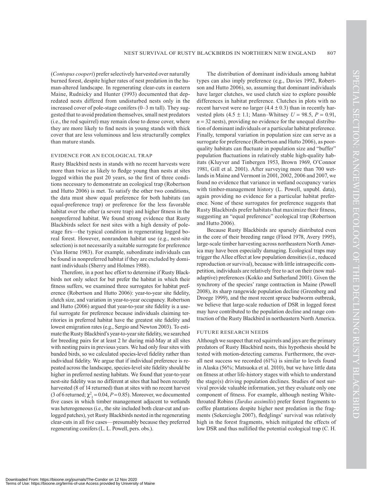(*Contopus cooperi*) prefer selectively harvested over naturally burned forest, despite higher rates of nest predation in the human-altered landscape. In regenerating clear-cuts in eastern Maine, Rudnicky and Hunter (1993) documented that depredated nests differed from undisturbed nests only in the increased cover of pole-stage conifers (0–3 m tall). They suggested that to avoid predation themselves, small nest predators (i.e., the red squirrel) may remain close to dense cover, where they are more likely to find nests in young stands with thick cover that are less voluminous and less structurally complex than mature stands.

#### EVIDENCE FOR AN ECOLOGICAL TRAP

Rusty Blackbird nests in stands with no recent harvests were more than twice as likely to fledge young than nests at sites logged within the past 20 years, so the first of three conditions necessary to demonstrate an ecological trap (Robertson and Hutto 2006) is met. To satisfy the other two conditions, the data must show equal preference for both habitats (an equal-preference trap) or preference for the less favorable habitat over the other (a severe trap) and higher fitness in the nonpreferred habitat. We found strong evidence that Rusty Blackbirds select for nest sites with a high density of polestage firs—the typical condition in regenerating logged boreal forest. However, nonrandom habitat use (e.g., nest-site selection) is not necessarily a suitable surrogate for preference (Van Horne 1983). For example, subordinate individuals can be found in nonpreferred habitat if they are excluded by dominant individuals (Sherry and Holmes 1988).

Therefore, in a post hoc effort to determine if Rusty Blackbirds not only select for but prefer the habitat in which their fitness suffers, we examined three surrogates for habitat preference (Robertson and Hutto 2006): year-to-year site fidelity, clutch size, and variation in year-to-year occupancy. Robertson and Hutto (2006) argued that year-to-year site fidelity is a useful surrogate for preference because individuals claiming territories in preferred habitat have the greatest site fidelity and lowest emigration rates (e.g., Sergio and Newton 2003). To estimate the Rusty Blackbird's year-to-year site fidelity, we searched for breeding pairs for at least 2 hr during mid-May at all sites with nesting pairs in previous years. We had only four sites with banded birds, so we calculated species-level fidelity rather than individual fidelity. We argue that if individual preference is repeated across the landscape, species-level site fidelity should be higher in preferred nesting habitats. We found that year-to-year nest-site fidelity was no different at sites that had been recently harvested (8 of 14 returned) than at sites with no recent harvest (3 of 6 returned;  $\chi^2_1 = 0.04$ , *P* = 0.85). Moreover, we documented five cases in which timber management adjacent to wetlands was heterogeneous (i.e., the site included both clear-cut and unlogged patches), yet Rusty Blackbirds nested in the regenerating clear-cuts in all five cases—presumably because they preferred regenerating conifers (L. L. Powell, pers. obs.).

The distribution of dominant individuals among habitat types can also imply preference (e.g., Davies 1992, Robertson and Hutto 2006), so, assuming that dominant individuals have larger clutches, we used clutch size to explore possible differences in habitat preference. Clutches in plots with no recent harvest were no larger  $(4.4 \pm 0.3)$  than in recently harvested plots  $(4.5 \pm 1.1; \text{ Mann}-\text{Whitney } U = 98.5, P = 0.91,$  $n = 32$  nests), providing no evidence for the unequal distribution of dominant individuals or a particular habitat preference. Finally, temporal variation in population size can serve as a surrogate for preference (Robertson and Hutto 2006), as poorquality habitats can fluctuate in population size and "buffer" population fluctuations in relatively stable high-quality habitats (Kluyver and Tinbergen 1953, Brown 1969, O'Connor 1981, Gill et al. 2001). After surveying more than 700 wetlands in Maine and Vermont in 2001, 2002, 2006 and 2007, we found no evidence that variance in wetland occupancy varies with timber-management history (L. Powell, unpubl. data), again providing no evidence for a particular habitat preference. None of these surrogates for preference suggests that Rusty Blackbirds prefer habitats that maximize their fitness, suggesting an "equal preference" ecological trap (Robertson and Hutto 2006).

Because Rusty Blackbirds are sparsely distributed even in the core of their breeding range (Flood 1978, Avery 1995), large-scale timber harvesting across northeastern North America may have been especially damaging. Ecological traps may trigger the Allee effect at low population densities (i.e., reduced reproduction or survival), because with little intraspecific competition, individuals are relatively free to act on their (now maladaptive) preferences (Kokko and Sutherland 2001). Given the synchrony of the species' range contraction in Maine (Powell 2008), its sharp rangewide population decline (Greenberg and Droege 1999), and the most recent spruce budworm outbreak, we believe that large-scale reduction of DSR in logged forest may have contributed to the population decline and range contraction of the Rusty Blackbird in northeastern North America.

#### FUTURE RESEARCH NEEDS

Although we suspect that red squirrels and jays are the primary predators of Rusty Blackbird nests, this hypothesis should be tested with motion-detecting cameras. Furthermore, the overall nest success we recorded (61%) is similar to levels found in Alaska (56%; Matsuoka et al. 2010), but we have little data on fitness at other life-history stages with which to understand the stage(s) driving population declines. Studies of nest survival provide valuable information, yet they evaluate only one component of fitness. For example, although nesting Whitethroated Robins (*Turdus assimilis*) prefer forest fragments to coffee plantations despite higher nest predation in the fragments (Sekercioglu 2007), fledglings' survival was relatively high in the forest fragments, which mitigated the effects of low DSR and thus nullified the potential ecological trap (C. H.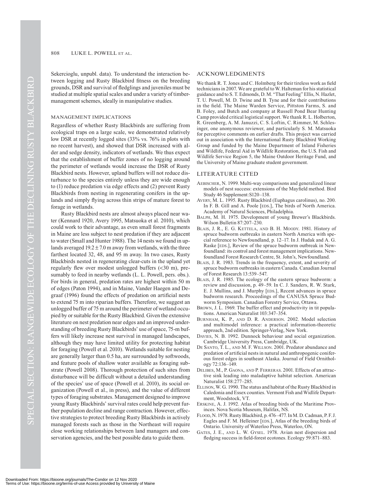Sekercioglu, unpubl. data). To understand the interaction between logging and Rusty Blackbird fitness on the breeding grounds, DSR and survival of fledglings and juveniles must be studied at multiple spatial scales and under a variety of timbermanagement schemes, ideally in manipulative studies.

#### MANAGEMENT IMPLICATIONS

Regardless of whether Rusty Blackbirds are suffering from ecological traps on a large scale, we demonstrated relatively low DSR at recently logged sites (33% vs. 76% in plots with no recent harvest), and showed that DSR increased with alder and sedge density, indicators of wetlands. We thus expect that the establishment of buffer zones of no logging around the perimeter of wetlands would increase the DSR of Rusty Blackbird nests. However, upland buffers will not reduce disturbance to the species entirely unless they are wide enough to (1) reduce predation via edge effects and (2) prevent Rusty Blackbirds from nesting in regenerating conifers in the uplands and simply flying across thin strips of mature forest to forage in wetlands.

Rusty Blackbird nests are almost always placed near water (Kennard 1920, Avery 1995, Matsuoka et al. 2010), which could work to their advantage, as even small forest fragments in Maine are less subject to nest predation if they are adjacent to water (Small and Hunter 1988). The 14 nests we found in uplands averaged  $19.2 \pm 7.0$  m away from wetlands, with the three farthest located 32, 48, and 95 m away. In two cases, Rusty Blackbirds nested in regenerating clear-cuts in the upland yet regularly flew over modest unlogged buffers (30 m), presumably to feed in nearby wetlands (L. L. Powell, pers. obs.). For birds in general, predation rates are highest within 50 m of edges (Paton 1994), and in Maine, Vander Haegen and Degraaf (1996) found the effects of predation on artificial nests to extend 75 m into riparian buffers. Therefore, we suggest an unlogged buffer of 75 m around the perimeter of wetland occupied by or suitable for the Rusty Blackbird. Given the extensive literature on nest predation near edges and an improved understanding of breeding Rusty Blackbirds' use of space, 75-m buffers will likely increase nest survival in managed landscapes, although they may have limited utility for protecting habitat for foraging (Powell et al. 2010). Wetlands suitable for nesting are generally larger than 0.5 ha, are surrounded by softwoods, and feature pools of shallow water available as foraging substrate (Powell 2008). Thorough protection of such sites from disturbance will be difficult without a detailed understanding of the species' use of space (Powell et al. 2010), its social organization (Powell et al., in press), and the value of different types of foraging substrates. Management designed to improve young Rusty Blackbirds' survival rates could help prevent further population decline and range contraction. However, effective strategies to protect breeding Rusty Blackbirds in actively managed forests such as those in the Northeast will require close working relationships between land managers and conservation agencies, and the best possible data to guide them.

#### ACKNOWLEDGMENTS

We thank R. T. Jones and C. Holmberg for their tireless work as field technicians in 2007. We are grateful to W. Halteman for his statistical guidance and to S. T. Edmonds, D. M. "That Feeling" Ellis, N. Hazlet, T. U. Powell, M. D. Twine and B. Tyne and for their contributions in the field. The Maine Warden Service, Pittston Farms, S. and B. Foley, and Butch and company at Russell Pond Bear Hunting Camp provided critical logistical support. We thank R. L. Holberton, R. Greenberg, A. M. Januzzi, C. S. Loftin, C. Rimmer, M. Schlesinger, one anonymous reviewer, and particularly S. M. Matsuoka for perceptive comments on earlier drafts. This project was carried out in association with the International Rusty Blackbird Working Group and funded by the Maine Department of Inland Fisheries and Wildlife, Federal Aid in Wildlife Restoration, the U.S. Fish and Wildlife Service Region 5, the Maine Outdoor Heritage Fund, and the University of Maine graduate student government.

#### LITERATURE CITED

- AEBISCHER, N. 1999. Multi-way comparisons and generalized linear models of nest success: extensions of the Mayfield method. Bird Study 46 Supplement:S120–138.
- AVERY, M. L. 1995. Rusty Blackbird (Euphagus carolinus), no. 200. In F. B. Gill and A. Poole [EDS.], The birds of North America. Academy of Natural Sciences, Philadelphia.
- BALPH, M. H. 1975. Development of young Brewer's Blackbirds. Wilson Bulletin 87:207–230.
- BLAIS, J. R., E. G. KETTELA, AND B. H. MOODY. 1981. History of spruce budworm outbreaks in eastern North America with special reference to Newfoundland, p. 12–17. In J. Hudak and A. G. Raske [EDS.], Review of the spruce budworm outbreak in Newfoundland: its control and forest management implications. Newfoundland Forest Research Centre, St. John's, Newfoundland.
- BLAIS, J. R. 1983. Trends in the frequency, extent, and severity of spruce budworm outbreaks in eastern Canada. Canadian Journal of Forest Research 13:539–547.
- BLAIS, J. R. 1985. The ecology of the eastern spruce budworm: a review and discussion, p. 49–59. In C. J. Sanders, R. W. Stark, E. J. Mullins, and J. Murphy [EDS.], Recent advances in spruce budworm research. Proceedings of the CANUSA Spruce Budworm Symposium. Canadian Forestry Service, Ottawa.
- BROWN, J. L. 1969. The buffer effect and productivity in tit populations. American Naturalist 103:347–354.
- BURNHAM, K. P., AND D. R. ANDERSON. 2002. Model selection and multimodel inference: a practical information-theoretic approach, 2nd edition. Springer-Verlag, New York.
- DAVIES, N. B. 1992. Dunnock behaviour and social organization. Cambridge University Press, Cambridge, UK.
- DE SANTO, T. L., AND M. F. WILLSON. 2001. Predator abundance and predation of artificial nests in natural and anthropogenic coniferous forest edges in southeast Alaska. Journal of Field Ornithology 72:136–149.
- DELIBES, M., P. GAONA, AND P. FERRERAS. 2001. Effects of an attractive sink leading into maladaptive habitat selection. American Naturalist 158:277–285.
- ELLISON, W. G. 1990. The status and habitat of the Rusty Blackbird in Caledonia and Essex counties. Vermont Fish and Widlife Department, Woodstock, VT.
- ERSKINE, A. J. 1992. Atlas of breeding birds of the Maritime Provinces. Nova Scotia Museum, Halifax, NS.
- FLOOD, N. 1978. Rusty Blackbird, p. 476–477. In M. D. Cadman, P. F. J. Eagles and F. M. Helleiner [EDS.], Atlas of the breeding birds of Ontario. University of Waterloo Press, Waterloo, ON.
- GATES, J. E., AND L. W. GYSEL. 1978. Avian nest dispersion and fledging success in field-forest ecotones. Ecology 59:871–883.